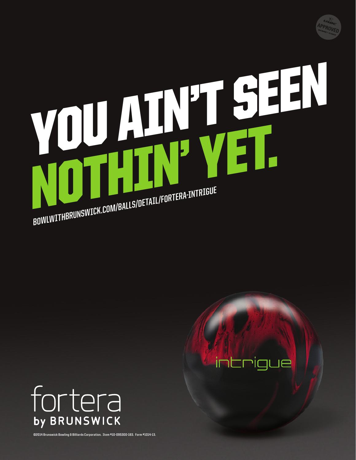